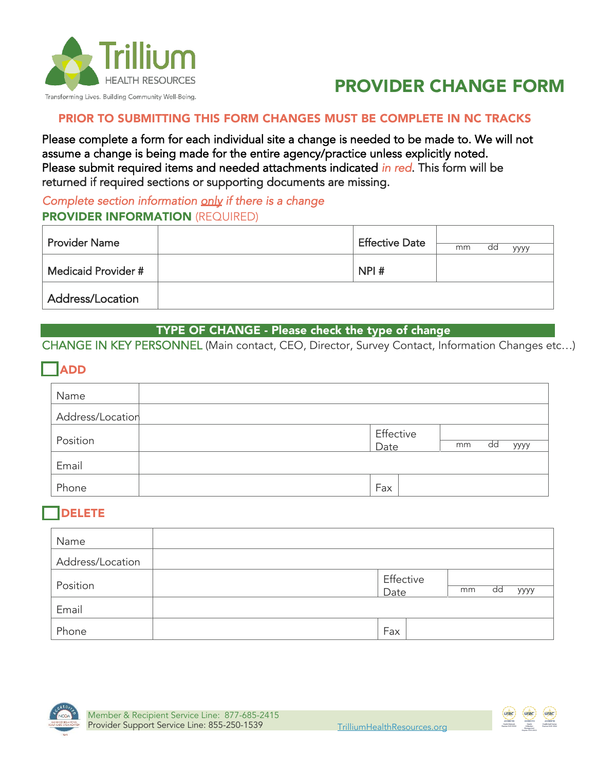

# PROVIDER CHANGE FORM

#### PRIOR TO SUBMITTING THIS FORM CHANGES MUST BE COMPLETE IN NC TRACKS

Please complete a form for each individual site a change is needed to be made to. We will not assume a change is being made for the entire agency/practice unless explicitly noted. Please submit required items and needed attachments indicated in red. This form will be returned if required sections or supporting documents are missing.

## Complete section information only if there is a change **PROVIDER INFORMATION (REQUIRED)**

| <b>Provider Name</b> | <b>Effective Date</b> | mm | dd | уууу |
|----------------------|-----------------------|----|----|------|
| Medicaid Provider #  | NPI#                  |    |    |      |
| Address/Location     |                       |    |    |      |

#### TYPE OF CHANGE - Please check the type of change

CHANGE IN KEY PERSONNEL (Main contact, CEO, Director, Survey Contact, Information Changes etc…)

## ADD

| Name             |                   |    |    |      |
|------------------|-------------------|----|----|------|
| Address/Location |                   |    |    |      |
| Position         | Effective<br>Date | mm | dd | уууу |
| Email            |                   |    |    |      |
| Phone            | Fax               |    |    |      |

## DELETE

| Name             |      |                               |
|------------------|------|-------------------------------|
| Address/Location |      |                               |
| Position         | Date | Effective<br>dd<br>mm<br>уууу |
| Email            |      |                               |
| Phone            | Fax  |                               |



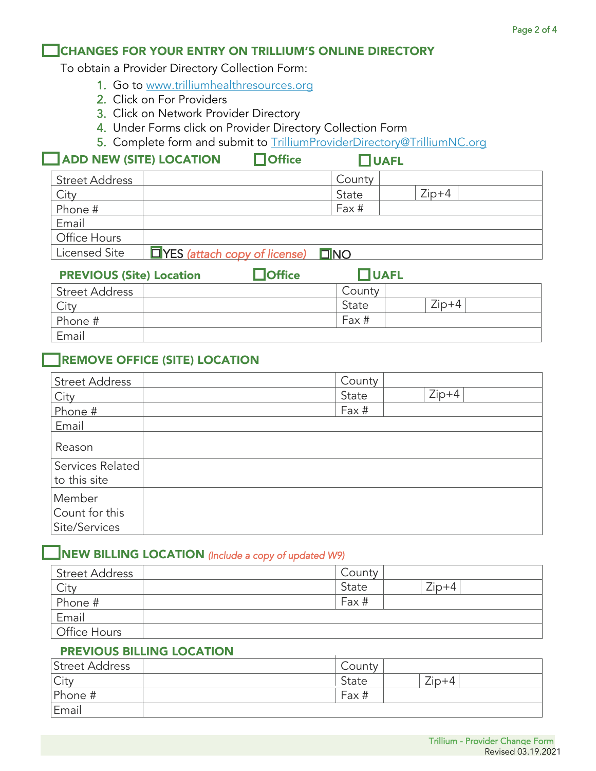#### CHANGES FOR YOUR ENTRY ON TRILLIUM'S ONLINE DIRECTORY

To obtain a Provider Directory Collection Form:

- 1. Go to [www.trilliumhealthresources.org](http://www.trilliumhealthresources.org/)
- 2. Click on For Providers
- 3. Click on Network Provider Directory
- 4. Under Forms click on Provider Directory Collection Form
- 5. Complete form and submit to [TrilliumProviderDirectory@TrilliumNC.org](mailto:TrilliumProviderDirectory@TrilliumNC.org)

#### $\sqrt{\phantom{a}}$  ADD NEW (SITE) LOCATION  $\qquad \qquad \Box$  Office  $\qquad \qquad \Box$  UAFL

| <b>Street Address</b> |                                               | County |         |  |  |
|-----------------------|-----------------------------------------------|--------|---------|--|--|
| City                  |                                               | State  | $Zip+4$ |  |  |
| Phone #               |                                               | Fax #  |         |  |  |
| Email                 |                                               |        |         |  |  |
| Office Hours          |                                               |        |         |  |  |
| Licensed Site         | $\Box$ YES (attach copy of license) $\Box$ NO |        |         |  |  |
|                       |                                               |        |         |  |  |

| <b>PREVIOUS (Site) Location</b> | $J$ Office | JUAFL  |         |  |
|---------------------------------|------------|--------|---------|--|
| <b>Street Address</b>           |            | County |         |  |
| City                            |            | State  | $Zip+4$ |  |
| Phone #                         |            | Fax #  |         |  |
| Email                           |            |        |         |  |

#### REMOVE OFFICE (SITE) LOCATION

| <b>Street Address</b>                     | County           |
|-------------------------------------------|------------------|
| City                                      | $Zip+4$<br>State |
| Phone #                                   | Fax #            |
| Email                                     |                  |
| Reason                                    |                  |
| Services Related<br>to this site          |                  |
| Member<br>Count for this<br>Site/Services |                  |

## $\Box$ NEW BILLING LOCATION (Include a copy of updated W9)

| <b>Street Address</b> | County |         |
|-----------------------|--------|---------|
| City                  | State  | $Zip+4$ |
| Phone #               | Fax #  |         |
| Email                 |        |         |
| Office Hours          |        |         |

#### PREVIOUS BILLING LOCATION

| Street Address | County  |         |
|----------------|---------|---------|
| City           | ' State | $Zip+4$ |
| Phone #        | Fax #   |         |
| Email          |         |         |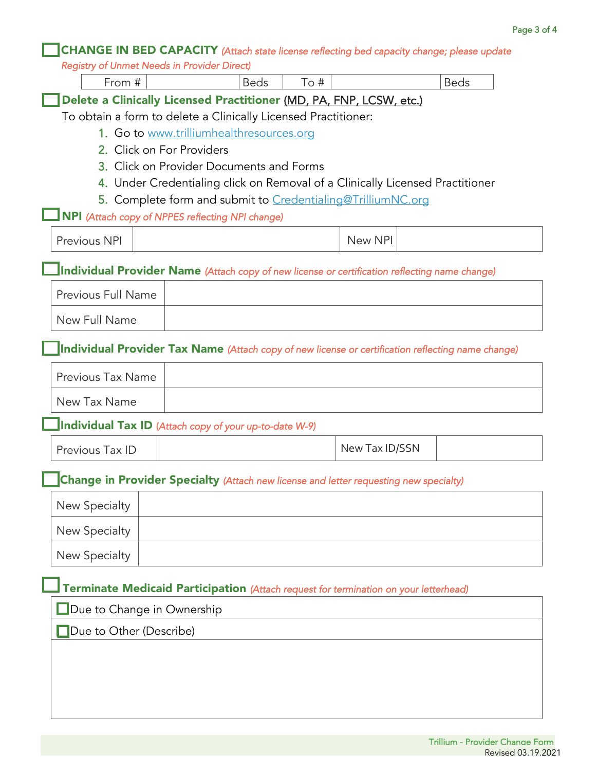|                                                    | <b>CHANGE IN BED CAPACITY</b> (Attach state license reflecting bed capacity change; please update |      |                |             |
|----------------------------------------------------|---------------------------------------------------------------------------------------------------|------|----------------|-------------|
| <b>Registry of Unmet Needs in Provider Direct)</b> |                                                                                                   |      |                |             |
| From #                                             | <b>Beds</b>                                                                                       | To # |                | <b>Beds</b> |
|                                                    | Delete a Clinically Licensed Practitioner (MD, PA, FNP, LCSW, etc.)                               |      |                |             |
|                                                    | To obtain a form to delete a Clinically Licensed Practitioner:                                    |      |                |             |
|                                                    | 1. Go to www.trilliumhealthresources.org                                                          |      |                |             |
|                                                    | 2. Click on For Providers<br>3. Click on Provider Documents and Forms                             |      |                |             |
|                                                    | 4. Under Credentialing click on Removal of a Clinically Licensed Practitioner                     |      |                |             |
|                                                    | 5. Complete form and submit to Credentialing@TrilliumNC.org                                       |      |                |             |
|                                                    | NPI (Attach copy of NPPES reflecting NPI change)                                                  |      |                |             |
| Previous NPI                                       |                                                                                                   |      | New NPI        |             |
|                                                    | Individual Provider Name (Attach copy of new license or certification reflecting name change)     |      |                |             |
| Previous Full Name                                 |                                                                                                   |      |                |             |
| New Full Name                                      |                                                                                                   |      |                |             |
|                                                    | Individual Provider Tax Name (Attach copy of new license or certification reflecting name change) |      |                |             |
| Previous Tax Name                                  |                                                                                                   |      |                |             |
| New Tax Name                                       |                                                                                                   |      |                |             |
|                                                    | <b>Individual Tax ID</b> (Attach copy of your up-to-date W-9)                                     |      |                |             |
| Previous Tax ID                                    |                                                                                                   |      | New Tax ID/SSN |             |
|                                                    | <b>Change in Provider Specialty</b> (Attach new license and letter requesting new specialty)      |      |                |             |
| New Specialty                                      |                                                                                                   |      |                |             |
| New Specialty                                      |                                                                                                   |      |                |             |
| New Specialty                                      |                                                                                                   |      |                |             |
|                                                    | Terminate Medicaid Participation (Attach request for termination on your letterhead)              |      |                |             |
| Due to Change in Ownership                         |                                                                                                   |      |                |             |
| Due to Other (Describe)                            |                                                                                                   |      |                |             |
|                                                    |                                                                                                   |      |                |             |
|                                                    |                                                                                                   |      |                |             |